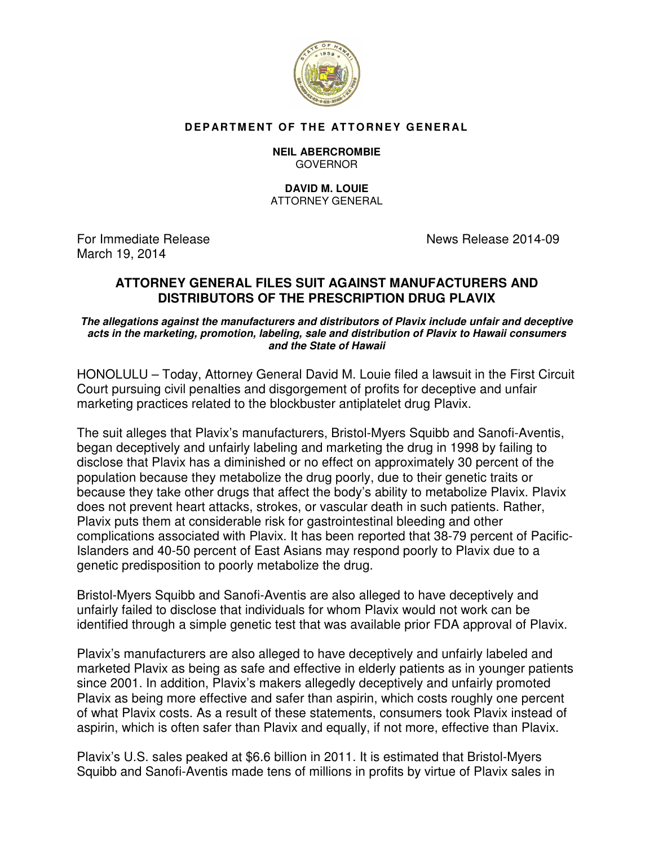

## **DEPARTMENT OF THE ATTORNEY GENERAL**

## **NEIL ABERCROMBIE** GOVERNOR

## **DAVID M. LOUIE**  ATTORNEY GENERAL

For Immediate ReleaseNews Release 2014-09 March 19, 2014

## **ATTORNEY GENERAL FILES SUIT AGAINST MANUFACTURERS AND DISTRIBUTORS OF THE PRESCRIPTION DRUG PLAVIX**

**The allegations against the manufacturers and distributors of Plavix include unfair and deceptive acts in the marketing, promotion, labeling, sale and distribution of Plavix to Hawaii consumers and the State of Hawaii**

HONOLULU – Today, Attorney General David M. Louie filed a lawsuit in the First Circuit Court pursuing civil penalties and disgorgement of profits for deceptive and unfair marketing practices related to the blockbuster antiplatelet drug Plavix.

The suit alleges that Plavix's manufacturers, Bristol-Myers Squibb and Sanofi-Aventis, began deceptively and unfairly labeling and marketing the drug in 1998 by failing to disclose that Plavix has a diminished or no effect on approximately 30 percent of the population because they metabolize the drug poorly, due to their genetic traits or because they take other drugs that affect the body's ability to metabolize Plavix. Plavix does not prevent heart attacks, strokes, or vascular death in such patients. Rather, Plavix puts them at considerable risk for gastrointestinal bleeding and other complications associated with Plavix. It has been reported that 38-79 percent of Pacific-Islanders and 40-50 percent of East Asians may respond poorly to Plavix due to a genetic predisposition to poorly metabolize the drug.

Bristol-Myers Squibb and Sanofi-Aventis are also alleged to have deceptively and unfairly failed to disclose that individuals for whom Plavix would not work can be identified through a simple genetic test that was available prior FDA approval of Plavix.

Plavix's manufacturers are also alleged to have deceptively and unfairly labeled and marketed Plavix as being as safe and effective in elderly patients as in younger patients since 2001. In addition, Plavix's makers allegedly deceptively and unfairly promoted Plavix as being more effective and safer than aspirin, which costs roughly one percent of what Plavix costs. As a result of these statements, consumers took Plavix instead of aspirin, which is often safer than Plavix and equally, if not more, effective than Plavix.

Plavix's U.S. sales peaked at \$6.6 billion in 2011. It is estimated that Bristol-Myers Squibb and Sanofi-Aventis made tens of millions in profits by virtue of Plavix sales in